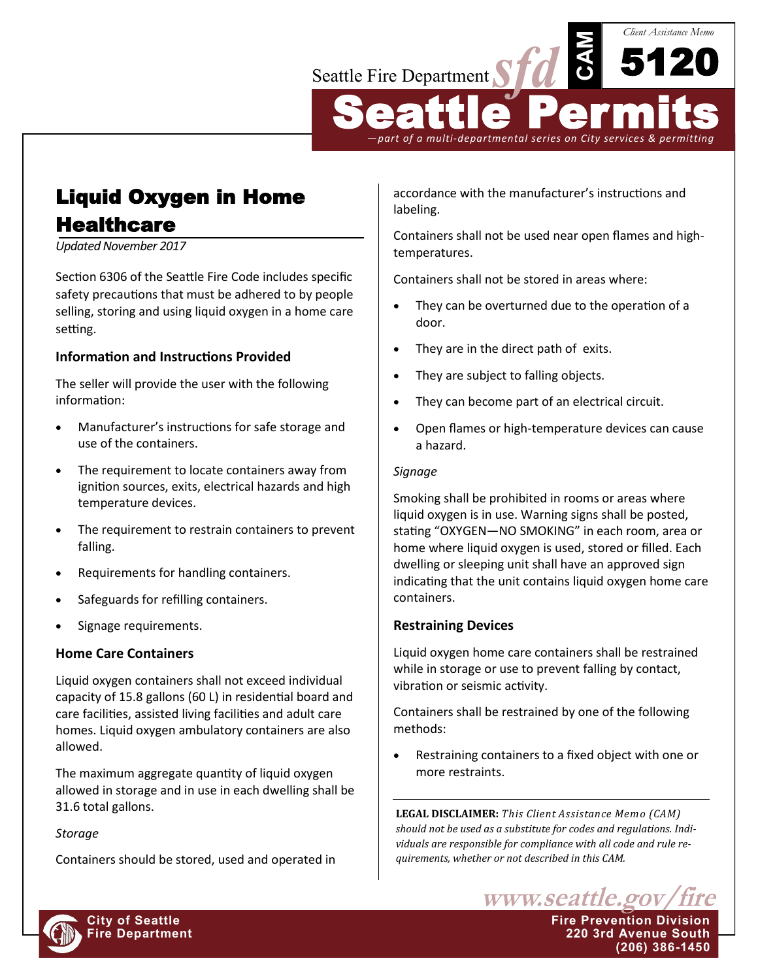# Seattle Fire Department

Seattle Permits *—part of a multi-departmental series on City services & permitting*

**CAM**

5120

*Client Assistance Memo*

# Liquid Oxygen in Home **Healthcare**

*Updated November 2017*

Section 6306 of the Seattle Fire Code includes specific safety precautions that must be adhered to by people selling, storing and using liquid oxygen in a home care setting.

# **Information and Instructions Provided**

The seller will provide the user with the following information:

- Manufacturer's instructions for safe storage and use of the containers.
- The requirement to locate containers away from ignition sources, exits, electrical hazards and high temperature devices.
- The requirement to restrain containers to prevent falling.
- Requirements for handling containers.
- Safeguards for refilling containers.
- Signage requirements.

# **Home Care Containers**

Liquid oxygen containers shall not exceed individual capacity of 15.8 gallons (60 L) in residential board and care facilities, assisted living facilities and adult care homes. Liquid oxygen ambulatory containers are also allowed.

The maximum aggregate quantity of liquid oxygen allowed in storage and in use in each dwelling shall be 31.6 total gallons.

# *Storage*

Containers should be stored, used and operated in

accordance with the manufacturer's instructions and labeling.

Containers shall not be used near open flames and hightemperatures.

Containers shall not be stored in areas where:

- They can be overturned due to the operation of a door.
- They are in the direct path of exits.
- They are subject to falling objects.
- They can become part of an electrical circuit.
- Open flames or high-temperature devices can cause a hazard.

#### *Signage*

Smoking shall be prohibited in rooms or areas where liquid oxygen is in use. Warning signs shall be posted, stating "OXYGEN—NO SMOKING" in each room, area or home where liquid oxygen is used, stored or filled. Each dwelling or sleeping unit shall have an approved sign indicating that the unit contains liquid oxygen home care containers.

# **Restraining Devices**

Liquid oxygen home care containers shall be restrained while in storage or use to prevent falling by contact, vibration or seismic activity.

Containers shall be restrained by one of the following methods:

 Restraining containers to a fixed object with one or more restraints.

**LEGAL DISCLAIMER:** *This Client Assistance Memo (CAM) should not be used as a substitute for codes and regulations. Individuals are responsible for compliance with all code and rule requirements, whether or not described in this CAM.*



**City of Seattle Fire Prevention Division Fire Department 220 3rd Avenue South (206) 386-1450**